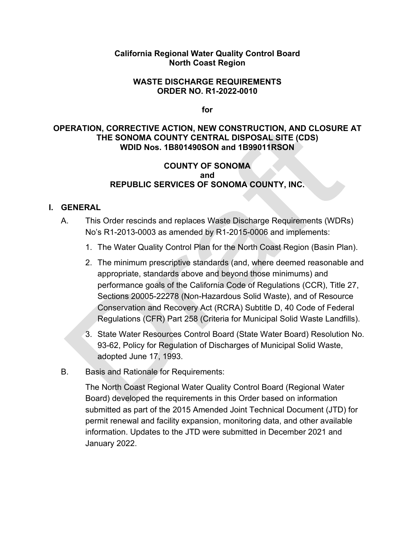#### **California Regional Water Quality Control Board North Coast Region**

#### **WASTE DISCHARGE REQUIREMENTS ORDER NO. R1-2022-0010**

**for**

#### **OPERATION, CORRECTIVE ACTION, NEW CONSTRUCTION, AND CLOSURE AT THE SONOMA COUNTY CENTRAL DISPOSAL SITE (CDS) WDID Nos. 1B801490SON and 1B99011RSON**

## **COUNTY OF SONOMA and REPUBLIC SERVICES OF SONOMA COUNTY, INC.**

## **I. GENERAL**

- A. This Order rescinds and replaces Waste Discharge Requirements (WDRs) No's R1-2013-0003 as amended by R1-2015-0006 and implements:
	- 1. The Water Quality Control Plan for the North Coast Region (Basin Plan).
	- 2. The minimum prescriptive standards (and, where deemed reasonable and appropriate, standards above and beyond those minimums) and performance goals of the California Code of Regulations (CCR), Title 27, Sections 20005-22278 (Non-Hazardous Solid Waste), and of Resource Conservation and Recovery Act (RCRA) Subtitle D, 40 Code of Federal Regulations (CFR) Part 258 (Criteria for Municipal Solid Waste Landfills).
	- 3. State Water Resources Control Board (State Water Board) Resolution No. 93-62, Policy for Regulation of Discharges of Municipal Solid Waste, adopted June 17, 1993.
- B. Basis and Rationale for Requirements:

The North Coast Regional Water Quality Control Board (Regional Water Board) developed the requirements in this Order based on information submitted as part of the 2015 Amended Joint Technical Document (JTD) for permit renewal and facility expansion, monitoring data, and other available information. Updates to the JTD were submitted in December 2021 and January 2022.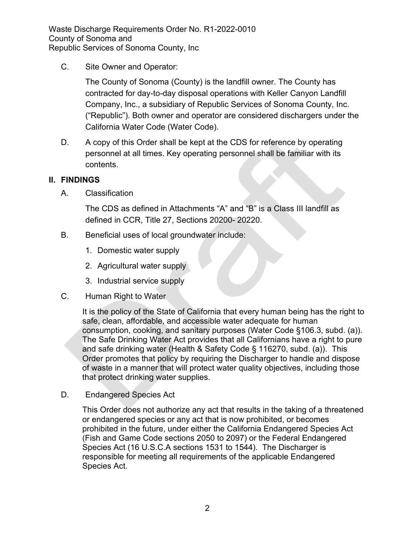C. Site Owner and Operator:

The County of Sonoma (County) is the landfill owner. The County has contracted for day-to-day disposal operations with Keller Canyon Landfill Company, Inc., a subsidiary of Republic Services of Sonoma County, Inc. ("Republic"). Both owner and operator are considered dischargers under the California Water Code (Water Code).

D. A copy of this Order shall be kept at the CDS for reference by operating personnel at all times. Key operating personnel shall be familiar with its contents.

# **II. FINDINGS**

A. Classification

The CDS as defined in Attachments "A" and "B" is a Class III landfill as defined in CCR, Title 27, Sections 20200- 20220.

- B. Beneficial uses of local groundwater include:
	- 1. Domestic water supply
	- 2. Agricultural water supply
	- 3. Industrial service supply
- C. Human Right to Water

It is the policy of the State of California that every human being has the right to safe, clean, affordable, and accessible water adequate for human consumption, cooking, and sanitary purposes (Water Code §106.3, subd. (a)). The Safe Drinking Water Act provides that all Californians have a right to pure and safe drinking water (Health & Safety Code § 116270, subd. (a)). This Order promotes that policy by requiring the Discharger to handle and dispose of waste in a manner that will protect water quality objectives, including those that protect drinking water supplies.

D. Endangered Species Act

This Order does not authorize any act that results in the taking of a threatened or endangered species or any act that is now prohibited, or becomes prohibited in the future, under either the California Endangered Species Act (Fish and Game Code sections 2050 to 2097) or the Federal Endangered Species Act (16 U.S.C.A sections 1531 to 1544). The Discharger is responsible for meeting all requirements of the applicable Endangered Species Act.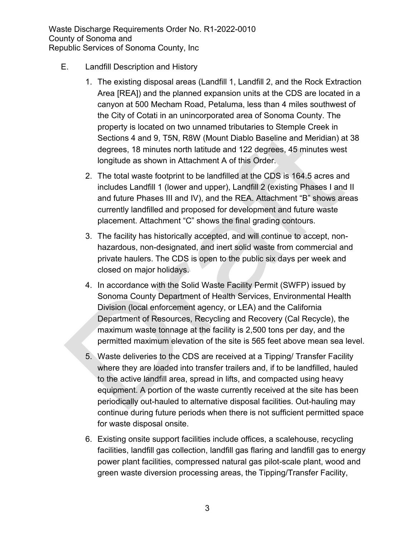- E. Landfill Description and History
	- 1. The existing disposal areas (Landfill 1, Landfill 2, and the Rock Extraction Area [REA]) and the planned expansion units at the CDS are located in a canyon at 500 Mecham Road, Petaluma, less than 4 miles southwest of the City of Cotati in an unincorporated area of Sonoma County. The property is located on two unnamed tributaries to Stemple Creek in Sections 4 and 9, T5N, R8W (Mount Diablo Baseline and Meridian) at 38 degrees, 18 minutes north latitude and 122 degrees, 45 minutes west longitude as shown in Attachment A of this Order.
	- 2. The total waste footprint to be landfilled at the CDS is 164.5 acres and includes Landfill 1 (lower and upper), Landfill 2 (existing Phases I and II and future Phases III and IV), and the REA. Attachment "B" shows areas currently landfilled and proposed for development and future waste placement. Attachment "C" shows the final grading contours.
	- 3. The facility has historically accepted, and will continue to accept, nonhazardous, non-designated, and inert solid waste from commercial and private haulers. The CDS is open to the public six days per week and closed on major holidays.
	- 4. In accordance with the Solid Waste Facility Permit (SWFP) issued by Sonoma County Department of Health Services, Environmental Health Division (local enforcement agency, or LEA) and the California Department of Resources, Recycling and Recovery (Cal Recycle), the maximum waste tonnage at the facility is 2,500 tons per day, and the permitted maximum elevation of the site is 565 feet above mean sea level.
	- 5. Waste deliveries to the CDS are received at a Tipping/ Transfer Facility where they are loaded into transfer trailers and, if to be landfilled, hauled to the active landfill area, spread in lifts, and compacted using heavy equipment. A portion of the waste currently received at the site has been periodically out-hauled to alternative disposal facilities. Out-hauling may continue during future periods when there is not sufficient permitted space for waste disposal onsite.
	- 6. Existing onsite support facilities include offices, a scalehouse, recycling facilities, landfill gas collection, landfill gas flaring and landfill gas to energy power plant facilities, compressed natural gas pilot-scale plant, wood and green waste diversion processing areas, the Tipping/Transfer Facility,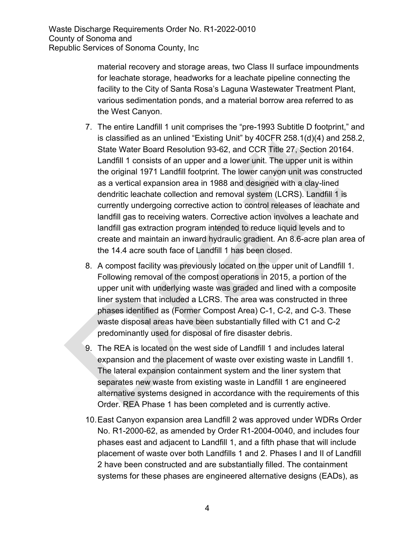material recovery and storage areas, two Class II surface impoundments for leachate storage, headworks for a leachate pipeline connecting the facility to the City of Santa Rosa's Laguna Wastewater Treatment Plant, various sedimentation ponds, and a material borrow area referred to as the West Canyon.

- 7. The entire Landfill 1 unit comprises the "pre-1993 Subtitle D footprint," and is classified as an unlined "Existing Unit" by 40CFR 258.1(d)(4) and 258.2, State Water Board Resolution 93-62, and CCR Title 27, Section 20164. Landfill 1 consists of an upper and a lower unit. The upper unit is within the original 1971 Landfill footprint. The lower canyon unit was constructed as a vertical expansion area in 1988 and designed with a clay-lined dendritic leachate collection and removal system (LCRS). Landfill 1 is currently undergoing corrective action to control releases of leachate and landfill gas to receiving waters. Corrective action involves a leachate and landfill gas extraction program intended to reduce liquid levels and to create and maintain an inward hydraulic gradient. An 8.6-acre plan area of the 14.4 acre south face of Landfill 1 has been closed.
- 8. A compost facility was previously located on the upper unit of Landfill 1. Following removal of the compost operations in 2015, a portion of the upper unit with underlying waste was graded and lined with a composite liner system that included a LCRS. The area was constructed in three phases identified as (Former Compost Area) C-1, C-2, and C-3. These waste disposal areas have been substantially filled with C1 and C-2 predominantly used for disposal of fire disaster debris.
- 9. The REA is located on the west side of Landfill 1 and includes lateral expansion and the placement of waste over existing waste in Landfill 1. The lateral expansion containment system and the liner system that separates new waste from existing waste in Landfill 1 are engineered alternative systems designed in accordance with the requirements of this Order. REA Phase 1 has been completed and is currently active.
- 10.East Canyon expansion area Landfill 2 was approved under WDRs Order No. R1-2000-62, as amended by Order R1-2004-0040, and includes four phases east and adjacent to Landfill 1, and a fifth phase that will include placement of waste over both Landfills 1 and 2. Phases I and II of Landfill 2 have been constructed and are substantially filled. The containment systems for these phases are engineered alternative designs (EADs), as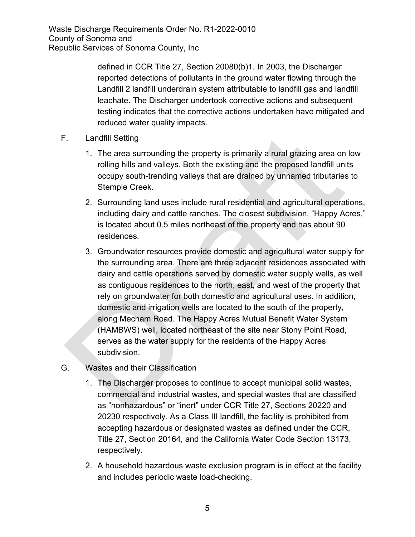> defined in CCR Title 27, Section 20080(b)1. In 2003, the Discharger reported detections of pollutants in the ground water flowing through the Landfill 2 landfill underdrain system attributable to landfill gas and landfill leachate. The Discharger undertook corrective actions and subsequent testing indicates that the corrective actions undertaken have mitigated and reduced water quality impacts.

- F. Landfill Setting
	- 1. The area surrounding the property is primarily a rural grazing area on low rolling hills and valleys. Both the existing and the proposed landfill units occupy south-trending valleys that are drained by unnamed tributaries to Stemple Creek.
	- 2. Surrounding land uses include rural residential and agricultural operations, including dairy and cattle ranches. The closest subdivision, "Happy Acres," is located about 0.5 miles northeast of the property and has about 90 residences.
	- 3. Groundwater resources provide domestic and agricultural water supply for the surrounding area. There are three adjacent residences associated with dairy and cattle operations served by domestic water supply wells, as well as contiguous residences to the north, east, and west of the property that rely on groundwater for both domestic and agricultural uses. In addition, domestic and irrigation wells are located to the south of the property, along Mecham Road. The Happy Acres Mutual Benefit Water System (HAMBWS) well, located northeast of the site near Stony Point Road, serves as the water supply for the residents of the Happy Acres subdivision.
- G. Wastes and their Classification
	- 1. The Discharger proposes to continue to accept municipal solid wastes, commercial and industrial wastes, and special wastes that are classified as "nonhazardous" or "inert" under CCR Title 27, Sections 20220 and 20230 respectively. As a Class III landfill, the facility is prohibited from accepting hazardous or designated wastes as defined under the CCR, Title 27, Section 20164, and the California Water Code Section 13173, respectively.
	- 2. A household hazardous waste exclusion program is in effect at the facility and includes periodic waste load-checking.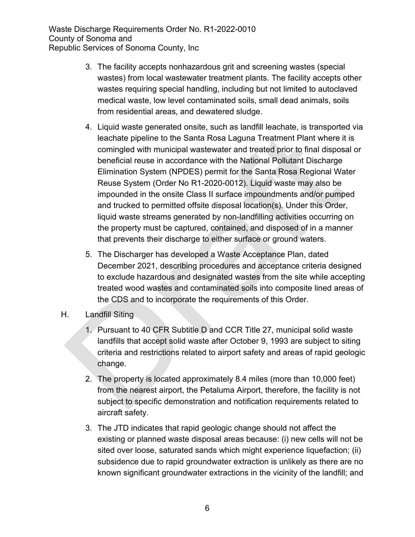- 3. The facility accepts nonhazardous grit and screening wastes (special wastes) from local wastewater treatment plants. The facility accepts other wastes requiring special handling, including but not limited to autoclaved medical waste, low level contaminated soils, small dead animals, soils from residential areas, and dewatered sludge.
- 4. Liquid waste generated onsite, such as landfill leachate, is transported via leachate pipeline to the Santa Rosa Laguna Treatment Plant where it is comingled with municipal wastewater and treated prior to final disposal or beneficial reuse in accordance with the National Pollutant Discharge Elimination System (NPDES) permit for the Santa Rosa Regional Water Reuse System (Order No R1-2020-0012). Liquid waste may also be impounded in the onsite Class II surface impoundments and/or pumped and trucked to permitted offsite disposal location(s). Under this Order, liquid waste streams generated by non-landfilling activities occurring on the property must be captured, contained, and disposed of in a manner that prevents their discharge to either surface or ground waters.
- 5. The Discharger has developed a Waste Acceptance Plan, dated December 2021, describing procedures and acceptance criteria designed to exclude hazardous and designated wastes from the site while accepting treated wood wastes and contaminated soils into composite lined areas of the CDS and to incorporate the requirements of this Order.
- H. Landfill Siting
	- 1. Pursuant to 40 CFR Subtitle D and CCR Title 27, municipal solid waste landfills that accept solid waste after October 9, 1993 are subject to siting criteria and restrictions related to airport safety and areas of rapid geologic change.
	- 2. The property is located approximately 8.4 miles (more than 10,000 feet) from the nearest airport, the Petaluma Airport, therefore, the facility is not subject to specific demonstration and notification requirements related to aircraft safety.
	- 3. The JTD indicates that rapid geologic change should not affect the existing or planned waste disposal areas because: (i) new cells will not be sited over loose, saturated sands which might experience liquefaction; (ii) subsidence due to rapid groundwater extraction is unlikely as there are no known significant groundwater extractions in the vicinity of the landfill; and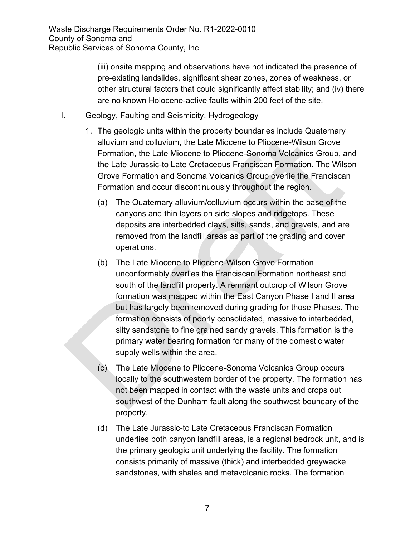(iii) onsite mapping and observations have not indicated the presence of pre-existing landslides, significant shear zones, zones of weakness, or other structural factors that could significantly affect stability; and (iv) there are no known Holocene-active faults within 200 feet of the site.

- I. Geology, Faulting and Seismicity, Hydrogeology
	- 1. The geologic units within the property boundaries include Quaternary alluvium and colluvium, the Late Miocene to Pliocene-Wilson Grove Formation, the Late Miocene to Pliocene-Sonoma Volcanics Group, and the Late Jurassic-to Late Cretaceous Franciscan Formation. The Wilson Grove Formation and Sonoma Volcanics Group overlie the Franciscan Formation and occur discontinuously throughout the region.
		- (a) The Quaternary alluvium/colluvium occurs within the base of the canyons and thin layers on side slopes and ridgetops. These deposits are interbedded clays, silts, sands, and gravels, and are removed from the landfill areas as part of the grading and cover operations.
		- (b) The Late Miocene to Pliocene-Wilson Grove Formation unconformably overlies the Franciscan Formation northeast and south of the landfill property. A remnant outcrop of Wilson Grove formation was mapped within the East Canyon Phase I and II area but has largely been removed during grading for those Phases. The formation consists of poorly consolidated, massive to interbedded, silty sandstone to fine grained sandy gravels. This formation is the primary water bearing formation for many of the domestic water supply wells within the area.
		- (c) The Late Miocene to Pliocene-Sonoma Volcanics Group occurs locally to the southwestern border of the property. The formation has not been mapped in contact with the waste units and crops out southwest of the Dunham fault along the southwest boundary of the property.
		- (d) The Late Jurassic-to Late Cretaceous Franciscan Formation underlies both canyon landfill areas, is a regional bedrock unit, and is the primary geologic unit underlying the facility. The formation consists primarily of massive (thick) and interbedded greywacke sandstones, with shales and metavolcanic rocks. The formation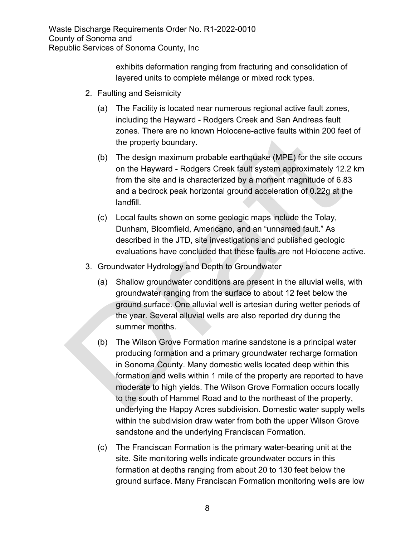> exhibits deformation ranging from fracturing and consolidation of layered units to complete mélange or mixed rock types.

- 2. Faulting and Seismicity
	- (a) The Facility is located near numerous regional active fault zones, including the Hayward - Rodgers Creek and San Andreas fault zones. There are no known Holocene-active faults within 200 feet of the property boundary.
	- (b) The design maximum probable earthquake (MPE) for the site occurs on the Hayward - Rodgers Creek fault system approximately 12.2 km from the site and is characterized by a moment magnitude of 6.83 and a bedrock peak horizontal ground acceleration of 0.22g at the landfill.
	- (c) Local faults shown on some geologic maps include the Tolay, Dunham, Bloomfield, Americano, and an "unnamed fault." As described in the JTD, site investigations and published geologic evaluations have concluded that these faults are not Holocene active.
- 3. Groundwater Hydrology and Depth to Groundwater
	- (a) Shallow groundwater conditions are present in the alluvial wells, with groundwater ranging from the surface to about 12 feet below the ground surface. One alluvial well is artesian during wetter periods of the year. Several alluvial wells are also reported dry during the summer months.
	- (b) The Wilson Grove Formation marine sandstone is a principal water producing formation and a primary groundwater recharge formation in Sonoma County. Many domestic wells located deep within this formation and wells within 1 mile of the property are reported to have moderate to high yields. The Wilson Grove Formation occurs locally to the south of Hammel Road and to the northeast of the property, underlying the Happy Acres subdivision. Domestic water supply wells within the subdivision draw water from both the upper Wilson Grove sandstone and the underlying Franciscan Formation.
	- (c) The Franciscan Formation is the primary water-bearing unit at the site. Site monitoring wells indicate groundwater occurs in this formation at depths ranging from about 20 to 130 feet below the ground surface. Many Franciscan Formation monitoring wells are low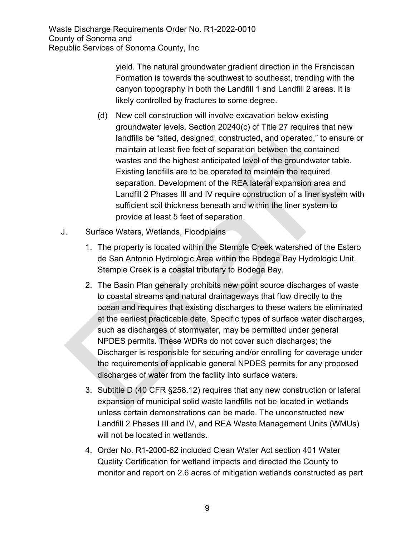> yield. The natural groundwater gradient direction in the Franciscan Formation is towards the southwest to southeast, trending with the canyon topography in both the Landfill 1 and Landfill 2 areas. It is likely controlled by fractures to some degree.

- (d) New cell construction will involve excavation below existing groundwater levels. Section 20240(c) of Title 27 requires that new landfills be "sited, designed, constructed, and operated," to ensure or maintain at least five feet of separation between the contained wastes and the highest anticipated level of the groundwater table. Existing landfills are to be operated to maintain the required separation. Development of the REA lateral expansion area and Landfill 2 Phases III and IV require construction of a liner system with sufficient soil thickness beneath and within the liner system to provide at least 5 feet of separation.
- J. Surface Waters, Wetlands, Floodplains
	- 1. The property is located within the Stemple Creek watershed of the Estero de San Antonio Hydrologic Area within the Bodega Bay Hydrologic Unit. Stemple Creek is a coastal tributary to Bodega Bay.
	- 2. The Basin Plan generally prohibits new point source discharges of waste to coastal streams and natural drainageways that flow directly to the ocean and requires that existing discharges to these waters be eliminated at the earliest practicable date. Specific types of surface water discharges, such as discharges of stormwater, may be permitted under general NPDES permits. These WDRs do not cover such discharges; the Discharger is responsible for securing and/or enrolling for coverage under the requirements of applicable general NPDES permits for any proposed discharges of water from the facility into surface waters.
	- 3. Subtitle D (40 CFR §258.12) requires that any new construction or lateral expansion of municipal solid waste landfills not be located in wetlands unless certain demonstrations can be made. The unconstructed new Landfill 2 Phases III and IV, and REA Waste Management Units (WMUs) will not be located in wetlands.
	- 4. Order No. R1-2000-62 included Clean Water Act section 401 Water Quality Certification for wetland impacts and directed the County to monitor and report on 2.6 acres of mitigation wetlands constructed as part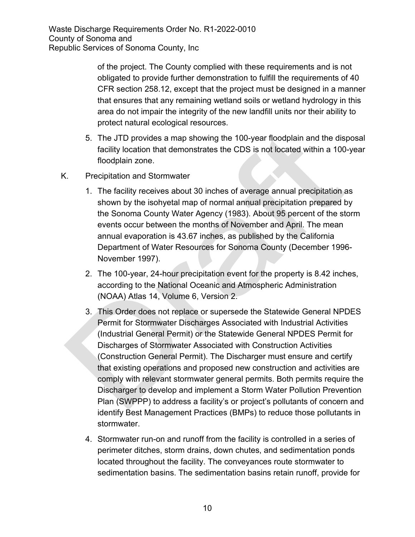> of the project. The County complied with these requirements and is not obligated to provide further demonstration to fulfill the requirements of 40 CFR section 258.12, except that the project must be designed in a manner that ensures that any remaining wetland soils or wetland hydrology in this area do not impair the integrity of the new landfill units nor their ability to protect natural ecological resources.

- 5. The JTD provides a map showing the 100-year floodplain and the disposal facility location that demonstrates the CDS is not located within a 100-year floodplain zone.
- K. Precipitation and Stormwater
	- 1. The facility receives about 30 inches of average annual precipitation as shown by the isohyetal map of normal annual precipitation prepared by the Sonoma County Water Agency (1983). About 95 percent of the storm events occur between the months of November and April. The mean annual evaporation is 43.67 inches, as published by the California Department of Water Resources for Sonoma County (December 1996- November 1997).
	- 2. The 100-year, 24-hour precipitation event for the property is 8.42 inches, according to the National Oceanic and Atmospheric Administration (NOAA) Atlas 14, Volume 6, Version 2.
	- 3. This Order does not replace or supersede the Statewide General NPDES Permit for Stormwater Discharges Associated with Industrial Activities (Industrial General Permit) or the Statewide General NPDES Permit for Discharges of Stormwater Associated with Construction Activities (Construction General Permit). The Discharger must ensure and certify that existing operations and proposed new construction and activities are comply with relevant stormwater general permits. Both permits require the Discharger to develop and implement a Storm Water Pollution Prevention Plan (SWPPP) to address a facility's or project's pollutants of concern and identify Best Management Practices (BMPs) to reduce those pollutants in stormwater.
	- 4. Stormwater run-on and runoff from the facility is controlled in a series of perimeter ditches, storm drains, down chutes, and sedimentation ponds located throughout the facility. The conveyances route stormwater to sedimentation basins. The sedimentation basins retain runoff, provide for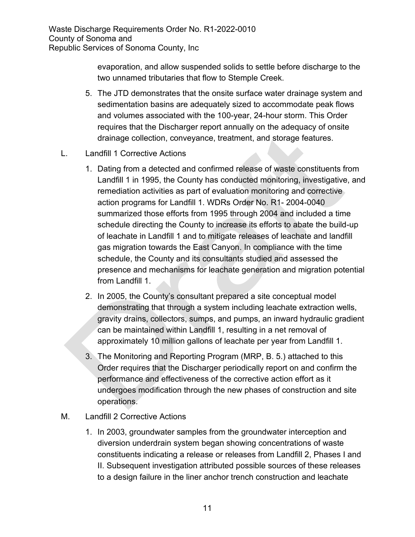> evaporation, and allow suspended solids to settle before discharge to the two unnamed tributaries that flow to Stemple Creek.

- 5. The JTD demonstrates that the onsite surface water drainage system and sedimentation basins are adequately sized to accommodate peak flows and volumes associated with the 100-year, 24-hour storm. This Order requires that the Discharger report annually on the adequacy of onsite drainage collection, conveyance, treatment, and storage features.
- L. Landfill 1 Corrective Actions
	- 1. Dating from a detected and confirmed release of waste constituents from Landfill 1 in 1995, the County has conducted monitoring, investigative, and remediation activities as part of evaluation monitoring and corrective action programs for Landfill 1. WDRs Order No. R1- 2004-0040 summarized those efforts from 1995 through 2004 and included a time schedule directing the County to increase its efforts to abate the build-up of leachate in Landfill 1 and to mitigate releases of leachate and landfill gas migration towards the East Canyon. In compliance with the time schedule, the County and its consultants studied and assessed the presence and mechanisms for leachate generation and migration potential from Landfill 1.
	- 2. In 2005, the County's consultant prepared a site conceptual model demonstrating that through a system including leachate extraction wells, gravity drains, collectors, sumps, and pumps, an inward hydraulic gradient can be maintained within Landfill 1, resulting in a net removal of approximately 10 million gallons of leachate per year from Landfill 1.
	- 3. The Monitoring and Reporting Program (MRP, B. 5.) attached to this Order requires that the Discharger periodically report on and confirm the performance and effectiveness of the corrective action effort as it undergoes modification through the new phases of construction and site operations.

#### M. Landfill 2 Corrective Actions

1. In 2003, groundwater samples from the groundwater interception and diversion underdrain system began showing concentrations of waste constituents indicating a release or releases from Landfill 2, Phases I and II. Subsequent investigation attributed possible sources of these releases to a design failure in the liner anchor trench construction and leachate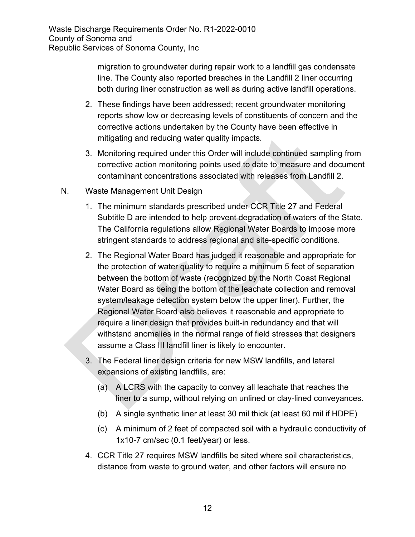> migration to groundwater during repair work to a landfill gas condensate line. The County also reported breaches in the Landfill 2 liner occurring both during liner construction as well as during active landfill operations.

- 2. These findings have been addressed; recent groundwater monitoring reports show low or decreasing levels of constituents of concern and the corrective actions undertaken by the County have been effective in mitigating and reducing water quality impacts.
- 3. Monitoring required under this Order will include continued sampling from corrective action monitoring points used to date to measure and document contaminant concentrations associated with releases from Landfill 2.
- N. Waste Management Unit Design
	- 1. The minimum standards prescribed under CCR Title 27 and Federal Subtitle D are intended to help prevent degradation of waters of the State. The California regulations allow Regional Water Boards to impose more stringent standards to address regional and site-specific conditions.
	- 2. The Regional Water Board has judged it reasonable and appropriate for the protection of water quality to require a minimum 5 feet of separation between the bottom of waste (recognized by the North Coast Regional Water Board as being the bottom of the leachate collection and removal system/leakage detection system below the upper liner). Further, the Regional Water Board also believes it reasonable and appropriate to require a liner design that provides built-in redundancy and that will withstand anomalies in the normal range of field stresses that designers assume a Class III landfill liner is likely to encounter.
	- 3. The Federal liner design criteria for new MSW landfills, and lateral expansions of existing landfills, are:
		- (a) A LCRS with the capacity to convey all leachate that reaches the liner to a sump, without relying on unlined or clay-lined conveyances.
		- (b) A single synthetic liner at least 30 mil thick (at least 60 mil if HDPE)
		- (c) A minimum of 2 feet of compacted soil with a hydraulic conductivity of 1x10-7 cm/sec (0.1 feet/year) or less.
	- 4. CCR Title 27 requires MSW landfills be sited where soil characteristics, distance from waste to ground water, and other factors will ensure no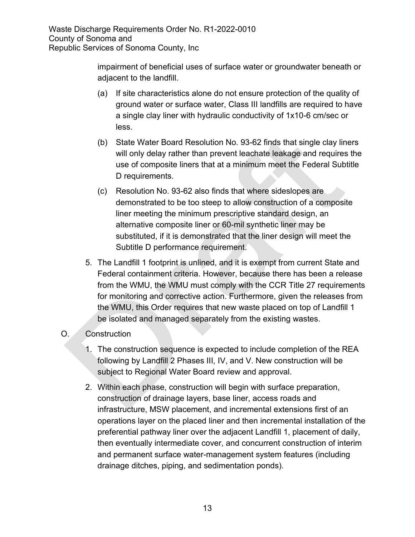> impairment of beneficial uses of surface water or groundwater beneath or adjacent to the landfill.

- (a) If site characteristics alone do not ensure protection of the quality of ground water or surface water, Class III landfills are required to have a single clay liner with hydraulic conductivity of 1x10-6 cm/sec or less.
- (b) State Water Board Resolution No. 93-62 finds that single clay liners will only delay rather than prevent leachate leakage and requires the use of composite liners that at a minimum meet the Federal Subtitle D requirements.
- (c) Resolution No. 93-62 also finds that where sideslopes are demonstrated to be too steep to allow construction of a composite liner meeting the minimum prescriptive standard design, an alternative composite liner or 60-mil synthetic liner may be substituted, if it is demonstrated that the liner design will meet the Subtitle D performance requirement.
- 5. The Landfill 1 footprint is unlined, and it is exempt from current State and Federal containment criteria. However, because there has been a release from the WMU, the WMU must comply with the CCR Title 27 requirements for monitoring and corrective action. Furthermore, given the releases from the WMU, this Order requires that new waste placed on top of Landfill 1 be isolated and managed separately from the existing wastes.

# O. Construction

- 1. The construction sequence is expected to include completion of the REA following by Landfill 2 Phases III, IV, and V. New construction will be subject to Regional Water Board review and approval.
- 2. Within each phase, construction will begin with surface preparation, construction of drainage layers, base liner, access roads and infrastructure, MSW placement, and incremental extensions first of an operations layer on the placed liner and then incremental installation of the preferential pathway liner over the adjacent Landfill 1, placement of daily, then eventually intermediate cover, and concurrent construction of interim and permanent surface water-management system features (including drainage ditches, piping, and sedimentation ponds).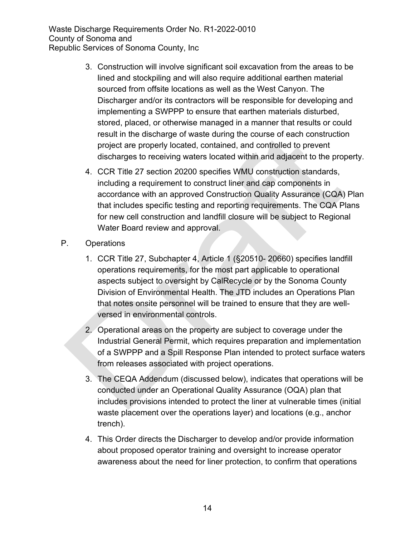- 3. Construction will involve significant soil excavation from the areas to be lined and stockpiling and will also require additional earthen material sourced from offsite locations as well as the West Canyon. The Discharger and/or its contractors will be responsible for developing and implementing a SWPPP to ensure that earthen materials disturbed, stored, placed, or otherwise managed in a manner that results or could result in the discharge of waste during the course of each construction project are properly located, contained, and controlled to prevent discharges to receiving waters located within and adjacent to the property.
- 4. CCR Title 27 section 20200 specifies WMU construction standards, including a requirement to construct liner and cap components in accordance with an approved Construction Quality Assurance (CQA) Plan that includes specific testing and reporting requirements. The CQA Plans for new cell construction and landfill closure will be subject to Regional Water Board review and approval.
- P. Operations
	- 1. CCR Title 27, Subchapter 4, Article 1 (§20510- 20660) specifies landfill operations requirements, for the most part applicable to operational aspects subject to oversight by CalRecycle or by the Sonoma County Division of Environmental Health. The JTD includes an Operations Plan that notes onsite personnel will be trained to ensure that they are wellversed in environmental controls.
	- 2. Operational areas on the property are subject to coverage under the Industrial General Permit, which requires preparation and implementation of a SWPPP and a Spill Response Plan intended to protect surface waters from releases associated with project operations.
	- 3. The CEQA Addendum (discussed below), indicates that operations will be conducted under an Operational Quality Assurance (OQA) plan that includes provisions intended to protect the liner at vulnerable times (initial waste placement over the operations layer) and locations (e.g., anchor trench).
	- 4. This Order directs the Discharger to develop and/or provide information about proposed operator training and oversight to increase operator awareness about the need for liner protection, to confirm that operations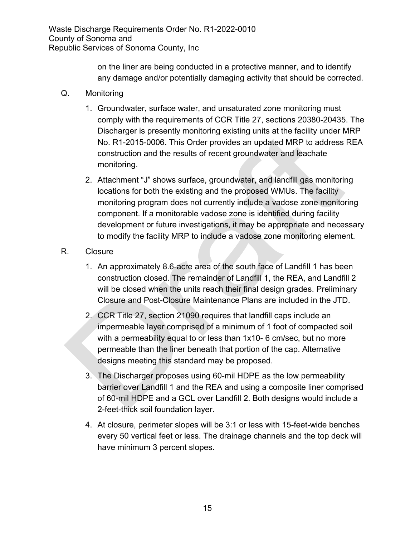> on the liner are being conducted in a protective manner, and to identify any damage and/or potentially damaging activity that should be corrected.

- Q. Monitoring
	- 1. Groundwater, surface water, and unsaturated zone monitoring must comply with the requirements of CCR Title 27, sections 20380-20435. The Discharger is presently monitoring existing units at the facility under MRP No. R1-2015-0006. This Order provides an updated MRP to address REA construction and the results of recent groundwater and leachate monitoring.
	- 2. Attachment "J" shows surface, groundwater, and landfill gas monitoring locations for both the existing and the proposed WMUs. The facility monitoring program does not currently include a vadose zone monitoring component. If a monitorable vadose zone is identified during facility development or future investigations, it may be appropriate and necessary to modify the facility MRP to include a vadose zone monitoring element.
- R. Closure
	- 1. An approximately 8.6-acre area of the south face of Landfill 1 has been construction closed. The remainder of Landfill 1, the REA, and Landfill 2 will be closed when the units reach their final design grades. Preliminary Closure and Post-Closure Maintenance Plans are included in the JTD.
	- 2. CCR Title 27, section 21090 requires that landfill caps include an impermeable layer comprised of a minimum of 1 foot of compacted soil with a permeability equal to or less than 1x10- 6 cm/sec, but no more permeable than the liner beneath that portion of the cap. Alternative designs meeting this standard may be proposed.
	- 3. The Discharger proposes using 60-mil HDPE as the low permeability barrier over Landfill 1 and the REA and using a composite liner comprised of 60-mil HDPE and a GCL over Landfill 2. Both designs would include a 2-feet-thick soil foundation layer.
	- 4. At closure, perimeter slopes will be 3:1 or less with 15-feet-wide benches every 50 vertical feet or less. The drainage channels and the top deck will have minimum 3 percent slopes.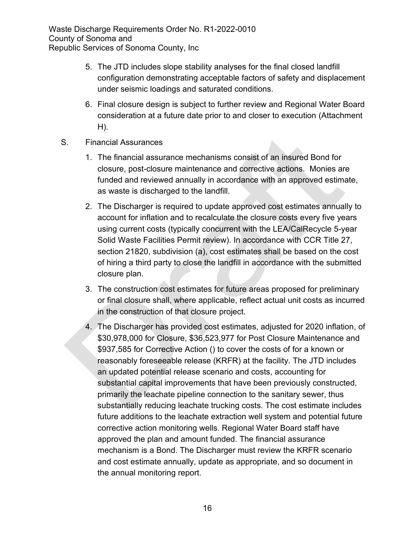- 5. The JTD includes slope stability analyses for the final closed landfill configuration demonstrating acceptable factors of safety and displacement under seismic loadings and saturated conditions.
- 6. Final closure design is subject to further review and Regional Water Board consideration at a future date prior to and closer to execution (Attachment H).
- S. Financial Assurances
	- 1. The financial assurance mechanisms consist of an insured Bond for closure, post-closure maintenance and corrective actions. Monies are funded and reviewed annually in accordance with an approved estimate, as waste is discharged to the landfill.
	- 2. The Discharger is required to update approved cost estimates annually to account for inflation and to recalculate the closure costs every five years using current costs (typically concurrent with the LEA/CalRecycle 5-year Solid Waste Facilities Permit review). In accordance with CCR Title 27, section 21820, subdivision (a), cost estimates shall be based on the cost of hiring a third party to close the landfill in accordance with the submitted closure plan.
	- 3. The construction cost estimates for future areas proposed for preliminary or final closure shall, where applicable, reflect actual unit costs as incurred in the construction of that closure project.
	- 4. The Discharger has provided cost estimates, adjusted for 2020 inflation, of \$30,978,000 for Closure, \$36,523,977 for Post Closure Maintenance and \$937,585 for Corrective Action () to cover the costs of for a known or reasonably foreseeable release (KRFR) at the facility. The JTD includes an updated potential release scenario and costs, accounting for substantial capital improvements that have been previously constructed, primarily the leachate pipeline connection to the sanitary sewer, thus substantially reducing leachate trucking costs. The cost estimate includes future additions to the leachate extraction well system and potential future corrective action monitoring wells. Regional Water Board staff have approved the plan and amount funded. The financial assurance mechanism is a Bond. The Discharger must review the KRFR scenario and cost estimate annually, update as appropriate, and so document in the annual monitoring report.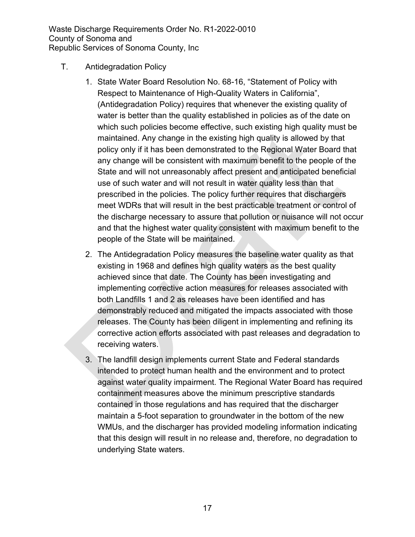- T. Antidegradation Policy
	- 1. State Water Board Resolution No. 68-16, "Statement of Policy with Respect to Maintenance of High-Quality Waters in California", (Antidegradation Policy) requires that whenever the existing quality of water is better than the quality established in policies as of the date on which such policies become effective, such existing high quality must be maintained. Any change in the existing high quality is allowed by that policy only if it has been demonstrated to the Regional Water Board that any change will be consistent with maximum benefit to the people of the State and will not unreasonably affect present and anticipated beneficial use of such water and will not result in water quality less than that prescribed in the policies. The policy further requires that dischargers meet WDRs that will result in the best practicable treatment or control of the discharge necessary to assure that pollution or nuisance will not occur and that the highest water quality consistent with maximum benefit to the people of the State will be maintained.
	- 2. The Antidegradation Policy measures the baseline water quality as that existing in 1968 and defines high quality waters as the best quality achieved since that date. The County has been investigating and implementing corrective action measures for releases associated with both Landfills 1 and 2 as releases have been identified and has demonstrably reduced and mitigated the impacts associated with those releases. The County has been diligent in implementing and refining its corrective action efforts associated with past releases and degradation to receiving waters.
	- 3. The landfill design implements current State and Federal standards intended to protect human health and the environment and to protect against water quality impairment. The Regional Water Board has required containment measures above the minimum prescriptive standards contained in those regulations and has required that the discharger maintain a 5-foot separation to groundwater in the bottom of the new WMUs, and the discharger has provided modeling information indicating that this design will result in no release and, therefore, no degradation to underlying State waters.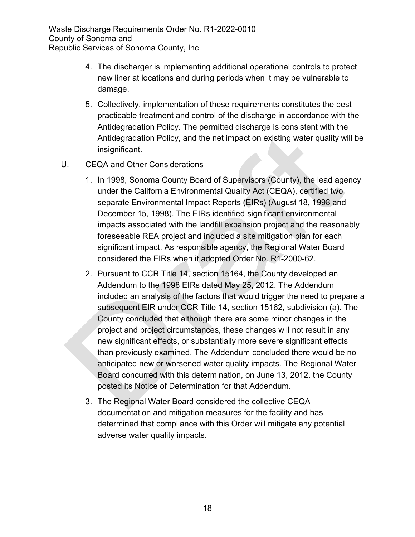- 4. The discharger is implementing additional operational controls to protect new liner at locations and during periods when it may be vulnerable to damage.
- 5. Collectively, implementation of these requirements constitutes the best practicable treatment and control of the discharge in accordance with the Antidegradation Policy. The permitted discharge is consistent with the Antidegradation Policy, and the net impact on existing water quality will be insignificant.
- U. CEQA and Other Considerations
	- 1. In 1998, Sonoma County Board of Supervisors (County), the lead agency under the California Environmental Quality Act (CEQA), certified two separate Environmental Impact Reports (EIRs) (August 18, 1998 and December 15, 1998). The EIRs identified significant environmental impacts associated with the landfill expansion project and the reasonably foreseeable REA project and included a site mitigation plan for each significant impact. As responsible agency, the Regional Water Board considered the EIRs when it adopted Order No. R1-2000-62.
	- 2. Pursuant to CCR Title 14, section 15164, the County developed an Addendum to the 1998 EIRs dated May 25, 2012, The Addendum included an analysis of the factors that would trigger the need to prepare a subsequent EIR under CCR Title 14, section 15162, subdivision (a). The County concluded that although there are some minor changes in the project and project circumstances, these changes will not result in any new significant effects, or substantially more severe significant effects than previously examined. The Addendum concluded there would be no anticipated new or worsened water quality impacts. The Regional Water Board concurred with this determination, on June 13, 2012. the County posted its Notice of Determination for that Addendum.
	- 3. The Regional Water Board considered the collective CEQA documentation and mitigation measures for the facility and has determined that compliance with this Order will mitigate any potential adverse water quality impacts.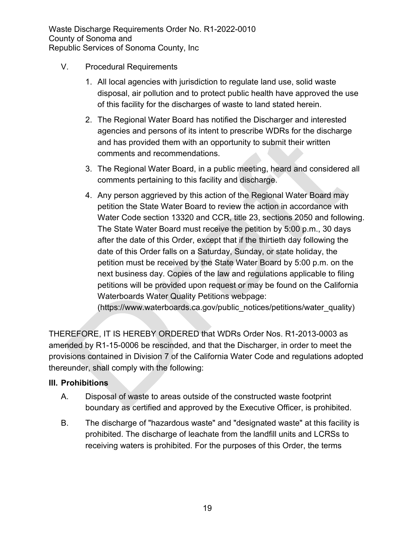- V. Procedural Requirements
	- 1. All local agencies with jurisdiction to regulate land use, solid waste disposal, air pollution and to protect public health have approved the use of this facility for the discharges of waste to land stated herein.
	- 2. The Regional Water Board has notified the Discharger and interested agencies and persons of its intent to prescribe WDRs for the discharge and has provided them with an opportunity to submit their written comments and recommendations.
	- 3. The Regional Water Board, in a public meeting, heard and considered all comments pertaining to this facility and discharge.
	- 4. Any person aggrieved by this action of the Regional Water Board may petition the State Water Board to review the action in accordance with Water Code section 13320 and CCR, title 23, sections 2050 and following. The State Water Board must receive the petition by 5:00 p.m., 30 days after the date of this Order, except that if the thirtieth day following the date of this Order falls on a Saturday, Sunday, or state holiday, the petition must be received by the State Water Board by 5:00 p.m. on the next business day. Copies of the law and regulations applicable to filing petitions will be provided upon request or may be found on the California Waterboards Water Quality Petitions webpage:

(https://www.waterboards.ca.gov/public\_notices/petitions/water\_quality)

THEREFORE, IT IS HEREBY ORDERED that WDRs Order Nos. R1-2013-0003 as amended by R1-15-0006 be rescinded, and that the Discharger, in order to meet the provisions contained in Division 7 of the California Water Code and regulations adopted thereunder, shall comply with the following:

# **III. Prohibitions**

- A. Disposal of waste to areas outside of the constructed waste footprint boundary as certified and approved by the Executive Officer, is prohibited.
- B. The discharge of "hazardous waste" and "designated waste" at this facility is prohibited. The discharge of leachate from the landfill units and LCRSs to receiving waters is prohibited. For the purposes of this Order, the terms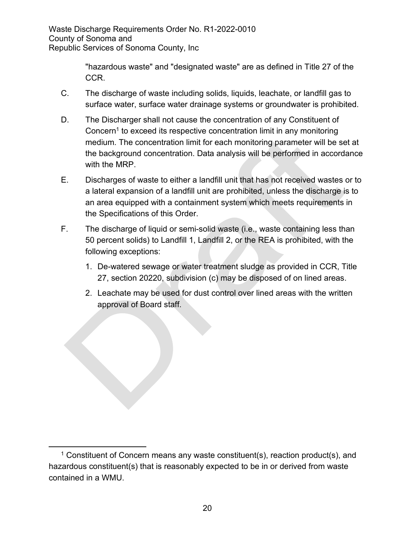"hazardous waste" and "designated waste" are as defined in Title 27 of the CCR.

- C. The discharge of waste including solids, liquids, leachate, or landfill gas to surface water, surface water drainage systems or groundwater is prohibited.
- D. The Discharger shall not cause the concentration of any Constituent of Concern<sup>[1](#page-19-0)</sup> to exceed its respective concentration limit in any monitoring medium. The concentration limit for each monitoring parameter will be set at the background concentration. Data analysis will be performed in accordance with the MRP.
- E. Discharges of waste to either a landfill unit that has not received wastes or to a lateral expansion of a landfill unit are prohibited, unless the discharge is to an area equipped with a containment system which meets requirements in the Specifications of this Order.
- F. The discharge of liquid or semi-solid waste (i.e., waste containing less than 50 percent solids) to Landfill 1, Landfill 2, or the REA is prohibited, with the following exceptions:
	- 1. De-watered sewage or water treatment sludge as provided in CCR, Title 27, section 20220, subdivision (c) may be disposed of on lined areas.
	- 2. Leachate may be used for dust control over lined areas with the written approval of Board staff.

<span id="page-19-0"></span><sup>&</sup>lt;sup>1</sup> Constituent of Concern means any waste constituent(s), reaction product(s), and hazardous constituent(s) that is reasonably expected to be in or derived from waste contained in a WMU.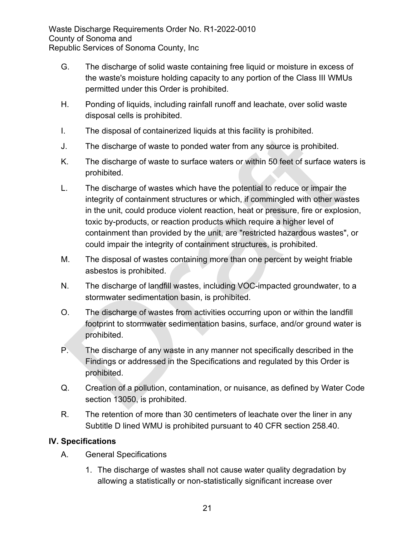- G. The discharge of solid waste containing free liquid or moisture in excess of the waste's moisture holding capacity to any portion of the Class III WMUs permitted under this Order is prohibited.
- H. Ponding of liquids, including rainfall runoff and leachate, over solid waste disposal cells is prohibited.
- I. The disposal of containerized liquids at this facility is prohibited.
- J. The discharge of waste to ponded water from any source is prohibited.
- K. The discharge of waste to surface waters or within 50 feet of surface waters is prohibited.
- L. The discharge of wastes which have the potential to reduce or impair the integrity of containment structures or which, if commingled with other wastes in the unit, could produce violent reaction, heat or pressure, fire or explosion, toxic by-products, or reaction products which require a higher level of containment than provided by the unit, are "restricted hazardous wastes", or could impair the integrity of containment structures, is prohibited.
- M. The disposal of wastes containing more than one percent by weight friable asbestos is prohibited.
- N. The discharge of landfill wastes, including VOC-impacted groundwater, to a stormwater sedimentation basin, is prohibited.
- O. The discharge of wastes from activities occurring upon or within the landfill footprint to stormwater sedimentation basins, surface, and/or ground water is prohibited.
- P. The discharge of any waste in any manner not specifically described in the Findings or addressed in the Specifications and regulated by this Order is prohibited.
- Q. Creation of a pollution, contamination, or nuisance, as defined by Water Code section 13050, is prohibited.
- R. The retention of more than 30 centimeters of leachate over the liner in any Subtitle D lined WMU is prohibited pursuant to 40 CFR section 258.40.

# **IV. Specifications**

- A. General Specifications
	- 1. The discharge of wastes shall not cause water quality degradation by allowing a statistically or non-statistically significant increase over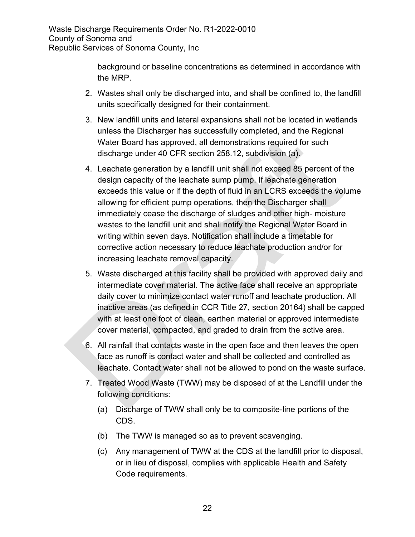> background or baseline concentrations as determined in accordance with the MRP.

- 2. Wastes shall only be discharged into, and shall be confined to, the landfill units specifically designed for their containment.
- 3. New landfill units and lateral expansions shall not be located in wetlands unless the Discharger has successfully completed, and the Regional Water Board has approved, all demonstrations required for such discharge under 40 CFR section 258.12, subdivision (a).
- 4. Leachate generation by a landfill unit shall not exceed 85 percent of the design capacity of the leachate sump pump. If leachate generation exceeds this value or if the depth of fluid in an LCRS exceeds the volume allowing for efficient pump operations, then the Discharger shall immediately cease the discharge of sludges and other high- moisture wastes to the landfill unit and shall notify the Regional Water Board in writing within seven days. Notification shall include a timetable for corrective action necessary to reduce leachate production and/or for increasing leachate removal capacity.
- 5. Waste discharged at this facility shall be provided with approved daily and intermediate cover material. The active face shall receive an appropriate daily cover to minimize contact water runoff and leachate production. All inactive areas (as defined in CCR Title 27, section 20164) shall be capped with at least one foot of clean, earthen material or approved intermediate cover material, compacted, and graded to drain from the active area.
- 6. All rainfall that contacts waste in the open face and then leaves the open face as runoff is contact water and shall be collected and controlled as leachate. Contact water shall not be allowed to pond on the waste surface.
- 7. Treated Wood Waste (TWW) may be disposed of at the Landfill under the following conditions:
	- (a) Discharge of TWW shall only be to composite-line portions of the CDS.
	- (b) The TWW is managed so as to prevent scavenging.
	- (c) Any management of TWW at the CDS at the landfill prior to disposal, or in lieu of disposal, complies with applicable Health and Safety Code requirements.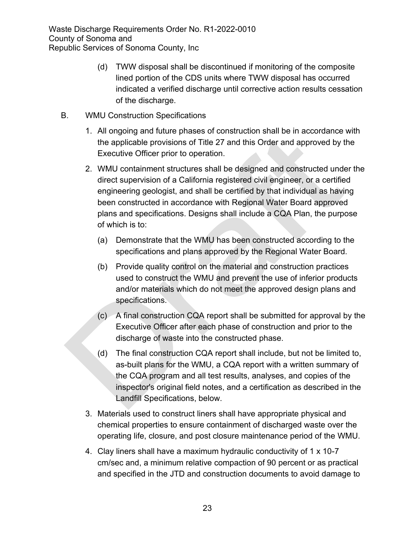- (d) TWW disposal shall be discontinued if monitoring of the composite lined portion of the CDS units where TWW disposal has occurred indicated a verified discharge until corrective action results cessation of the discharge.
- B. WMU Construction Specifications
	- 1. All ongoing and future phases of construction shall be in accordance with the applicable provisions of Title 27 and this Order and approved by the Executive Officer prior to operation.
	- 2. WMU containment structures shall be designed and constructed under the direct supervision of a California registered civil engineer, or a certified engineering geologist, and shall be certified by that individual as having been constructed in accordance with Regional Water Board approved plans and specifications. Designs shall include a CQA Plan, the purpose of which is to:
		- (a) Demonstrate that the WMU has been constructed according to the specifications and plans approved by the Regional Water Board.
		- (b) Provide quality control on the material and construction practices used to construct the WMU and prevent the use of inferior products and/or materials which do not meet the approved design plans and specifications.
		- (c) A final construction CQA report shall be submitted for approval by the Executive Officer after each phase of construction and prior to the discharge of waste into the constructed phase.
		- (d) The final construction CQA report shall include, but not be limited to, as-built plans for the WMU, a CQA report with a written summary of the CQA program and all test results, analyses, and copies of the inspector's original field notes, and a certification as described in the Landfill Specifications, below.
	- 3. Materials used to construct liners shall have appropriate physical and chemical properties to ensure containment of discharged waste over the operating life, closure, and post closure maintenance period of the WMU.
	- 4. Clay liners shall have a maximum hydraulic conductivity of 1 x 10-7 cm/sec and, a minimum relative compaction of 90 percent or as practical and specified in the JTD and construction documents to avoid damage to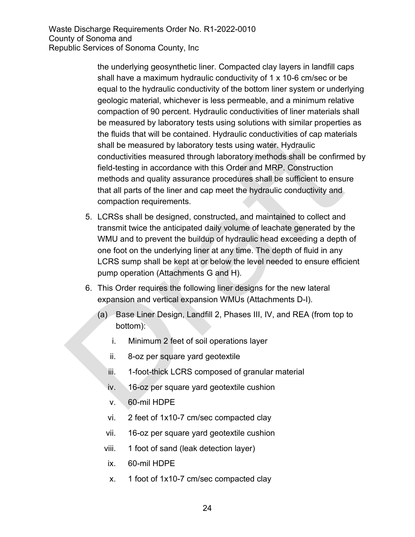the underlying geosynthetic liner. Compacted clay layers in landfill caps shall have a maximum hydraulic conductivity of 1 x 10-6 cm/sec or be equal to the hydraulic conductivity of the bottom liner system or underlying geologic material, whichever is less permeable, and a minimum relative compaction of 90 percent. Hydraulic conductivities of liner materials shall be measured by laboratory tests using solutions with similar properties as the fluids that will be contained. Hydraulic conductivities of cap materials shall be measured by laboratory tests using water. Hydraulic conductivities measured through laboratory methods shall be confirmed by field-testing in accordance with this Order and MRP. Construction methods and quality assurance procedures shall be sufficient to ensure that all parts of the liner and cap meet the hydraulic conductivity and compaction requirements.

- 5. LCRSs shall be designed, constructed, and maintained to collect and transmit twice the anticipated daily volume of leachate generated by the WMU and to prevent the buildup of hydraulic head exceeding a depth of one foot on the underlying liner at any time. The depth of fluid in any LCRS sump shall be kept at or below the level needed to ensure efficient pump operation (Attachments G and H).
- 6. This Order requires the following liner designs for the new lateral expansion and vertical expansion WMUs (Attachments D-I).
	- (a) Base Liner Design, Landfill 2, Phases III, IV, and REA (from top to bottom):
		- i. Minimum 2 feet of soil operations layer
		- ii. 8-oz per square yard geotextile
		- iii. 1-foot-thick LCRS composed of granular material
		- iv. 16-oz per square yard geotextile cushion
		- v. 60-mil HDPE
		- vi. 2 feet of 1x10-7 cm/sec compacted clay
		- vii. 16-oz per square yard geotextile cushion
		- viii. 1 foot of sand (leak detection layer)
		- ix. 60-mil HDPE
		- x. 1 foot of 1x10-7 cm/sec compacted clay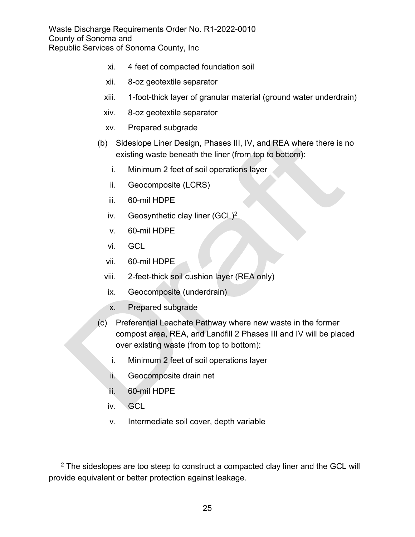- xi. 4 feet of compacted foundation soil
- xii. 8-oz geotextile separator
- xiii. 1-foot-thick layer of granular material (ground water underdrain)
- xiv. 8-oz geotextile separator
- xv. Prepared subgrade
- (b) Sideslope Liner Design, Phases III, IV, and REA where there is no existing waste beneath the liner (from top to bottom):
	- i. Minimum 2 feet of soil operations layer
	- ii. Geocomposite (LCRS)
	- iii. 60-mil HDPE
	- iv. Geosynthetic clay liner  $(GCL)^2$  $(GCL)^2$
	- v. 60-mil HDPE
	- vi. GCL
	- vii. 60-mil HDPE
	- viii. 2-feet-thick soil cushion layer (REA only)
	- ix. Geocomposite (underdrain)
	- x. Prepared subgrade
- (c) Preferential Leachate Pathway where new waste in the former compost area, REA, and Landfill 2 Phases III and IV will be placed over existing waste (from top to bottom):
	- i. Minimum 2 feet of soil operations layer
	- ii. Geocomposite drain net
	- iii. 60-mil HDPE
	- iv. GCL
	- v. Intermediate soil cover, depth variable

<span id="page-24-0"></span> $2$  The sideslopes are too steep to construct a compacted clay liner and the GCL will provide equivalent or better protection against leakage.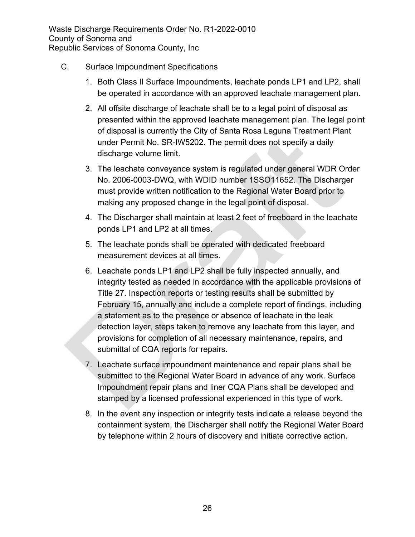- C. Surface Impoundment Specifications
	- 1. Both Class II Surface Impoundments, leachate ponds LP1 and LP2, shall be operated in accordance with an approved leachate management plan.
	- 2. All offsite discharge of leachate shall be to a legal point of disposal as presented within the approved leachate management plan. The legal point of disposal is currently the City of Santa Rosa Laguna Treatment Plant under Permit No. SR-IW5202. The permit does not specify a daily discharge volume limit.
	- 3. The leachate conveyance system is regulated under general WDR Order No. 2006-0003-DWQ, with WDID number 1SSO11652. The Discharger must provide written notification to the Regional Water Board prior to making any proposed change in the legal point of disposal.
	- 4. The Discharger shall maintain at least 2 feet of freeboard in the leachate ponds LP1 and LP2 at all times.
	- 5. The leachate ponds shall be operated with dedicated freeboard measurement devices at all times.
	- 6. Leachate ponds LP1 and LP2 shall be fully inspected annually, and integrity tested as needed in accordance with the applicable provisions of Title 27. Inspection reports or testing results shall be submitted by February 15, annually and include a complete report of findings, including a statement as to the presence or absence of leachate in the leak detection layer, steps taken to remove any leachate from this layer, and provisions for completion of all necessary maintenance, repairs, and submittal of CQA reports for repairs.
	- 7. Leachate surface impoundment maintenance and repair plans shall be submitted to the Regional Water Board in advance of any work. Surface Impoundment repair plans and liner CQA Plans shall be developed and stamped by a licensed professional experienced in this type of work.
	- 8. In the event any inspection or integrity tests indicate a release beyond the containment system, the Discharger shall notify the Regional Water Board by telephone within 2 hours of discovery and initiate corrective action.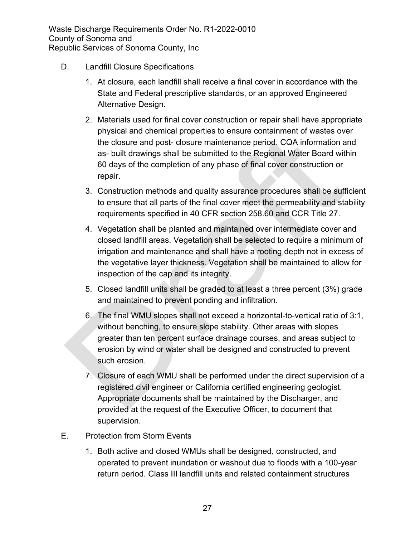- D. Landfill Closure Specifications
	- 1. At closure, each landfill shall receive a final cover in accordance with the State and Federal prescriptive standards, or an approved Engineered Alternative Design.
	- 2. Materials used for final cover construction or repair shall have appropriate physical and chemical properties to ensure containment of wastes over the closure and post- closure maintenance period. CQA information and as- built drawings shall be submitted to the Regional Water Board within 60 days of the completion of any phase of final cover construction or repair.
	- 3. Construction methods and quality assurance procedures shall be sufficient to ensure that all parts of the final cover meet the permeability and stability requirements specified in 40 CFR section 258.60 and CCR Title 27.
	- 4. Vegetation shall be planted and maintained over intermediate cover and closed landfill areas. Vegetation shall be selected to require a minimum of irrigation and maintenance and shall have a rooting depth not in excess of the vegetative layer thickness. Vegetation shall be maintained to allow for inspection of the cap and its integrity.
	- 5. Closed landfill units shall be graded to at least a three percent (3%) grade and maintained to prevent ponding and infiltration.
	- 6. The final WMU slopes shall not exceed a horizontal-to-vertical ratio of 3:1, without benching, to ensure slope stability. Other areas with slopes greater than ten percent surface drainage courses, and areas subject to erosion by wind or water shall be designed and constructed to prevent such erosion.
	- 7. Closure of each WMU shall be performed under the direct supervision of a registered civil engineer or California certified engineering geologist. Appropriate documents shall be maintained by the Discharger, and provided at the request of the Executive Officer, to document that supervision.
- E. Protection from Storm Events
	- 1. Both active and closed WMUs shall be designed, constructed, and operated to prevent inundation or washout due to floods with a 100-year return period. Class III landfill units and related containment structures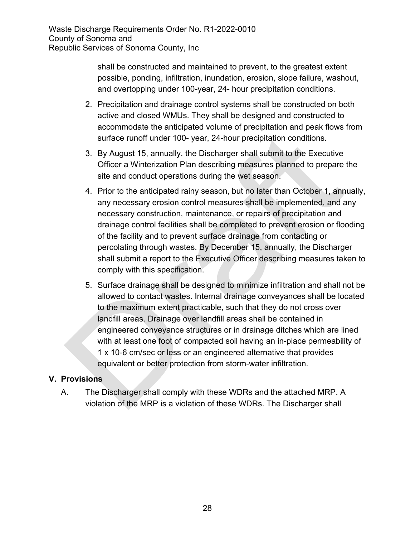> shall be constructed and maintained to prevent, to the greatest extent possible, ponding, infiltration, inundation, erosion, slope failure, washout, and overtopping under 100-year, 24- hour precipitation conditions.

- 2. Precipitation and drainage control systems shall be constructed on both active and closed WMUs. They shall be designed and constructed to accommodate the anticipated volume of precipitation and peak flows from surface runoff under 100- year, 24-hour precipitation conditions.
- 3. By August 15, annually, the Discharger shall submit to the Executive Officer a Winterization Plan describing measures planned to prepare the site and conduct operations during the wet season.
- 4. Prior to the anticipated rainy season, but no later than October 1, annually, any necessary erosion control measures shall be implemented, and any necessary construction, maintenance, or repairs of precipitation and drainage control facilities shall be completed to prevent erosion or flooding of the facility and to prevent surface drainage from contacting or percolating through wastes. By December 15, annually, the Discharger shall submit a report to the Executive Officer describing measures taken to comply with this specification.
- 5. Surface drainage shall be designed to minimize infiltration and shall not be allowed to contact wastes. Internal drainage conveyances shall be located to the maximum extent practicable, such that they do not cross over landfill areas. Drainage over landfill areas shall be contained in engineered conveyance structures or in drainage ditches which are lined with at least one foot of compacted soil having an in-place permeability of 1 x 10-6 cm/sec or less or an engineered alternative that provides equivalent or better protection from storm-water infiltration.

# **V. Provisions**

A. The Discharger shall comply with these WDRs and the attached MRP. A violation of the MRP is a violation of these WDRs. The Discharger shall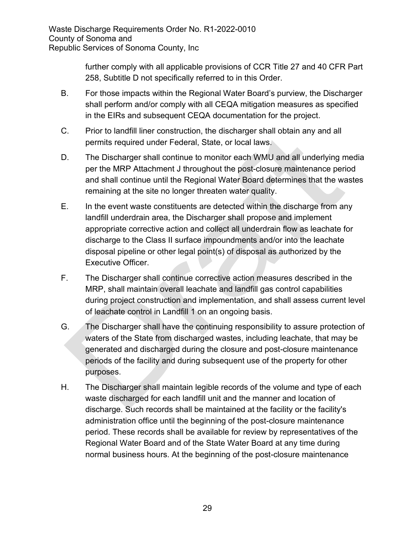further comply with all applicable provisions of CCR Title 27 and 40 CFR Part 258, Subtitle D not specifically referred to in this Order.

- B. For those impacts within the Regional Water Board's purview, the Discharger shall perform and/or comply with all CEQA mitigation measures as specified in the EIRs and subsequent CEQA documentation for the project.
- C. Prior to landfill liner construction, the discharger shall obtain any and all permits required under Federal, State, or local laws.
- D. The Discharger shall continue to monitor each WMU and all underlying media per the MRP Attachment J throughout the post-closure maintenance period and shall continue until the Regional Water Board determines that the wastes remaining at the site no longer threaten water quality.
- E. In the event waste constituents are detected within the discharge from any landfill underdrain area, the Discharger shall propose and implement appropriate corrective action and collect all underdrain flow as leachate for discharge to the Class II surface impoundments and/or into the leachate disposal pipeline or other legal point(s) of disposal as authorized by the Executive Officer.
- F. The Discharger shall continue corrective action measures described in the MRP, shall maintain overall leachate and landfill gas control capabilities during project construction and implementation, and shall assess current level of leachate control in Landfill 1 on an ongoing basis.
- G. The Discharger shall have the continuing responsibility to assure protection of waters of the State from discharged wastes, including leachate, that may be generated and discharged during the closure and post-closure maintenance periods of the facility and during subsequent use of the property for other purposes.
- H. The Discharger shall maintain legible records of the volume and type of each waste discharged for each landfill unit and the manner and location of discharge. Such records shall be maintained at the facility or the facility's administration office until the beginning of the post-closure maintenance period. These records shall be available for review by representatives of the Regional Water Board and of the State Water Board at any time during normal business hours. At the beginning of the post-closure maintenance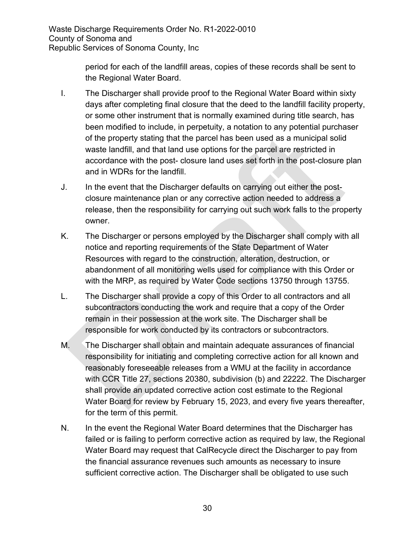> period for each of the landfill areas, copies of these records shall be sent to the Regional Water Board.

- I. The Discharger shall provide proof to the Regional Water Board within sixty days after completing final closure that the deed to the landfill facility property, or some other instrument that is normally examined during title search, has been modified to include, in perpetuity, a notation to any potential purchaser of the property stating that the parcel has been used as a municipal solid waste landfill, and that land use options for the parcel are restricted in accordance with the post- closure land uses set forth in the post-closure plan and in WDRs for the landfill.
- J. In the event that the Discharger defaults on carrying out either the postclosure maintenance plan or any corrective action needed to address a release, then the responsibility for carrying out such work falls to the property owner.
- K. The Discharger or persons employed by the Discharger shall comply with all notice and reporting requirements of the State Department of Water Resources with regard to the construction, alteration, destruction, or abandonment of all monitoring wells used for compliance with this Order or with the MRP, as required by Water Code sections 13750 through 13755.
- L. The Discharger shall provide a copy of this Order to all contractors and all subcontractors conducting the work and require that a copy of the Order remain in their possession at the work site. The Discharger shall be responsible for work conducted by its contractors or subcontractors.
- M. The Discharger shall obtain and maintain adequate assurances of financial responsibility for initiating and completing corrective action for all known and reasonably foreseeable releases from a WMU at the facility in accordance with CCR Title 27, sections 20380, subdivision (b) and 22222. The Discharger shall provide an updated corrective action cost estimate to the Regional Water Board for review by February 15, 2023, and every five years thereafter, for the term of this permit.
- N. In the event the Regional Water Board determines that the Discharger has failed or is failing to perform corrective action as required by law, the Regional Water Board may request that CalRecycle direct the Discharger to pay from the financial assurance revenues such amounts as necessary to insure sufficient corrective action. The Discharger shall be obligated to use such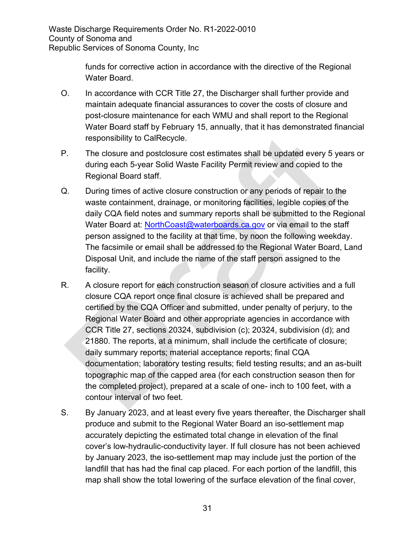> funds for corrective action in accordance with the directive of the Regional Water Board.

- O. In accordance with CCR Title 27, the Discharger shall further provide and maintain adequate financial assurances to cover the costs of closure and post-closure maintenance for each WMU and shall report to the Regional Water Board staff by February 15, annually, that it has demonstrated financial responsibility to CalRecycle.
- P. The closure and postclosure cost estimates shall be updated every 5 years or during each 5-year Solid Waste Facility Permit review and copied to the Regional Board staff.
- Q. During times of active closure construction or any periods of repair to the waste containment, drainage, or monitoring facilities, legible copies of the daily CQA field notes and summary reports shall be submitted to the Regional Water Board at: NorthCoast@waterboards.ca.gov or via email to the staff person assigned to the facility at that time, by noon the following weekday. The facsimile or email shall be addressed to the Regional Water Board, Land Disposal Unit, and include the name of the staff person assigned to the facility.
- R. A closure report for each construction season of closure activities and a full closure CQA report once final closure is achieved shall be prepared and certified by the CQA Officer and submitted, under penalty of perjury, to the Regional Water Board and other appropriate agencies in accordance with CCR Title 27, sections 20324, subdivision (c); 20324, subdivision (d); and 21880. The reports, at a minimum, shall include the certificate of closure; daily summary reports; material acceptance reports; final CQA documentation; laboratory testing results; field testing results; and an as-built topographic map of the capped area (for each construction season then for the completed project), prepared at a scale of one- inch to 100 feet, with a contour interval of two feet.
- S. By January 2023, and at least every five years thereafter, the Discharger shall produce and submit to the Regional Water Board an iso-settlement map accurately depicting the estimated total change in elevation of the final cover's low-hydraulic-conductivity layer. If full closure has not been achieved by January 2023, the iso-settlement map may include just the portion of the landfill that has had the final cap placed. For each portion of the landfill, this map shall show the total lowering of the surface elevation of the final cover,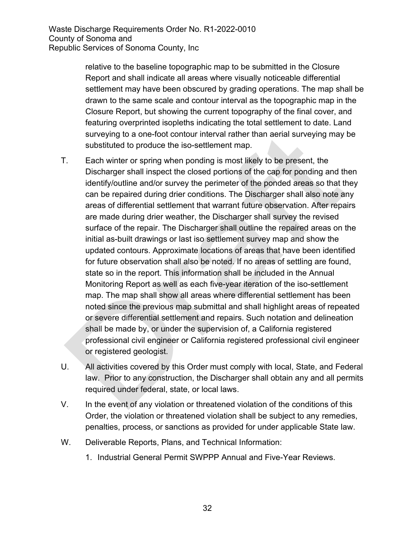relative to the baseline topographic map to be submitted in the Closure Report and shall indicate all areas where visually noticeable differential settlement may have been obscured by grading operations. The map shall be drawn to the same scale and contour interval as the topographic map in the Closure Report, but showing the current topography of the final cover, and featuring overprinted isopleths indicating the total settlement to date. Land surveying to a one-foot contour interval rather than aerial surveying may be substituted to produce the iso-settlement map.

- T. Each winter or spring when ponding is most likely to be present, the Discharger shall inspect the closed portions of the cap for ponding and then identify/outline and/or survey the perimeter of the ponded areas so that they can be repaired during drier conditions. The Discharger shall also note any areas of differential settlement that warrant future observation. After repairs are made during drier weather, the Discharger shall survey the revised surface of the repair. The Discharger shall outline the repaired areas on the initial as-built drawings or last iso settlement survey map and show the updated contours. Approximate locations of areas that have been identified for future observation shall also be noted. If no areas of settling are found, state so in the report. This information shall be included in the Annual Monitoring Report as well as each five-year iteration of the iso-settlement map. The map shall show all areas where differential settlement has been noted since the previous map submittal and shall highlight areas of repeated or severe differential settlement and repairs. Such notation and delineation shall be made by, or under the supervision of, a California registered professional civil engineer or California registered professional civil engineer or registered geologist.
- U. All activities covered by this Order must comply with local, State, and Federal law. Prior to any construction, the Discharger shall obtain any and all permits required under federal, state, or local laws.
- V. In the event of any violation or threatened violation of the conditions of this Order, the violation or threatened violation shall be subject to any remedies, penalties, process, or sanctions as provided for under applicable State law.
- W. Deliverable Reports, Plans, and Technical Information:
	- 1. Industrial General Permit SWPPP Annual and Five-Year Reviews.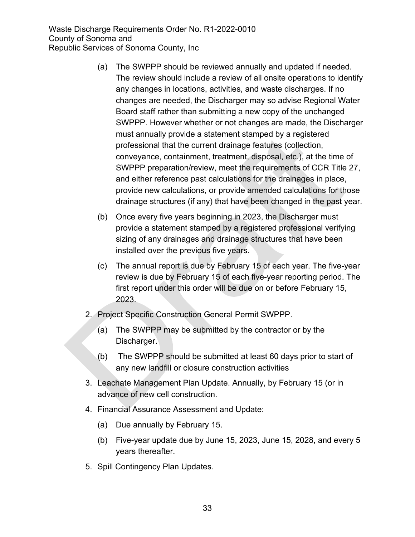- (a) The SWPPP should be reviewed annually and updated if needed. The review should include a review of all onsite operations to identify any changes in locations, activities, and waste discharges. If no changes are needed, the Discharger may so advise Regional Water Board staff rather than submitting a new copy of the unchanged SWPPP. However whether or not changes are made, the Discharger must annually provide a statement stamped by a registered professional that the current drainage features (collection, conveyance, containment, treatment, disposal, etc.), at the time of SWPPP preparation/review, meet the requirements of CCR Title 27, and either reference past calculations for the drainages in place, provide new calculations, or provide amended calculations for those drainage structures (if any) that have been changed in the past year.
- (b) Once every five years beginning in 2023, the Discharger must provide a statement stamped by a registered professional verifying sizing of any drainages and drainage structures that have been installed over the previous five years.
- (c) The annual report is due by February 15 of each year. The five-year review is due by February 15 of each five-year reporting period. The first report under this order will be due on or before February 15, 2023.
- 2. Project Specific Construction General Permit SWPPP.
	- (a) The SWPPP may be submitted by the contractor or by the Discharger.
	- (b) The SWPPP should be submitted at least 60 days prior to start of any new landfill or closure construction activities
- 3. Leachate Management Plan Update. Annually, by February 15 (or in advance of new cell construction.
- 4. Financial Assurance Assessment and Update:
	- (a) Due annually by February 15.
	- (b) Five-year update due by June 15, 2023, June 15, 2028, and every 5 years thereafter.
- 5. Spill Contingency Plan Updates.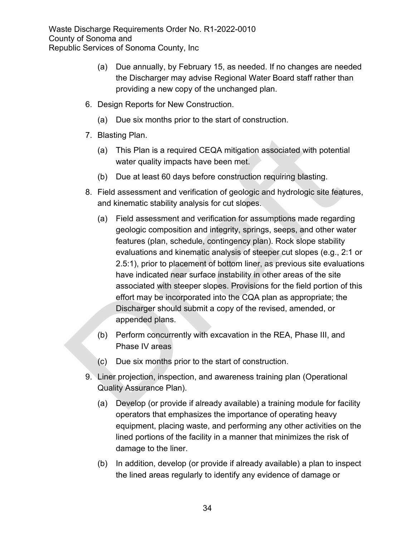- (a) Due annually, by February 15, as needed. If no changes are needed the Discharger may advise Regional Water Board staff rather than providing a new copy of the unchanged plan.
- 6. Design Reports for New Construction.
	- (a) Due six months prior to the start of construction.
- 7. Blasting Plan.
	- (a) This Plan is a required CEQA mitigation associated with potential water quality impacts have been met.
	- (b) Due at least 60 days before construction requiring blasting.
- 8. Field assessment and verification of geologic and hydrologic site features, and kinematic stability analysis for cut slopes.
	- (a) Field assessment and verification for assumptions made regarding geologic composition and integrity, springs, seeps, and other water features (plan, schedule, contingency plan). Rock slope stability evaluations and kinematic analysis of steeper cut slopes (e.g., 2:1 or 2.5:1), prior to placement of bottom liner, as previous site evaluations have indicated near surface instability in other areas of the site associated with steeper slopes. Provisions for the field portion of this effort may be incorporated into the CQA plan as appropriate; the Discharger should submit a copy of the revised, amended, or appended plans.
	- (b) Perform concurrently with excavation in the REA, Phase III, and Phase IV areas
	- (c) Due six months prior to the start of construction.
- 9. Liner projection, inspection, and awareness training plan (Operational Quality Assurance Plan).
	- (a) Develop (or provide if already available) a training module for facility operators that emphasizes the importance of operating heavy equipment, placing waste, and performing any other activities on the lined portions of the facility in a manner that minimizes the risk of damage to the liner.
	- (b) In addition, develop (or provide if already available) a plan to inspect the lined areas regularly to identify any evidence of damage or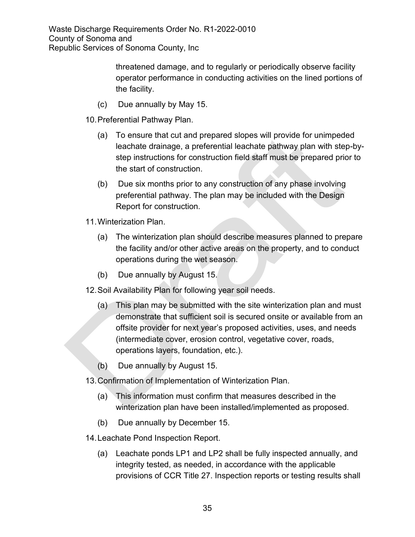> threatened damage, and to regularly or periodically observe facility operator performance in conducting activities on the lined portions of the facility.

- (c) Due annually by May 15.
- 10.Preferential Pathway Plan.
	- (a) To ensure that cut and prepared slopes will provide for unimpeded leachate drainage, a preferential leachate pathway plan with step-bystep instructions for construction field staff must be prepared prior to the start of construction.
	- (b) Due six months prior to any construction of any phase involving preferential pathway. The plan may be included with the Design Report for construction.
- 11.Winterization Plan.
	- (a) The winterization plan should describe measures planned to prepare the facility and/or other active areas on the property, and to conduct operations during the wet season.
	- (b) Due annually by August 15.
- 12.Soil Availability Plan for following year soil needs.
	- (a) This plan may be submitted with the site winterization plan and must demonstrate that sufficient soil is secured onsite or available from an offsite provider for next year's proposed activities, uses, and needs (intermediate cover, erosion control, vegetative cover, roads, operations layers, foundation, etc.).
	- (b) Due annually by August 15.
- 13.Confirmation of Implementation of Winterization Plan.
	- (a) This information must confirm that measures described in the winterization plan have been installed/implemented as proposed.
	- (b) Due annually by December 15.
- 14.Leachate Pond Inspection Report.
	- (a) Leachate ponds LP1 and LP2 shall be fully inspected annually, and integrity tested, as needed, in accordance with the applicable provisions of CCR Title 27. Inspection reports or testing results shall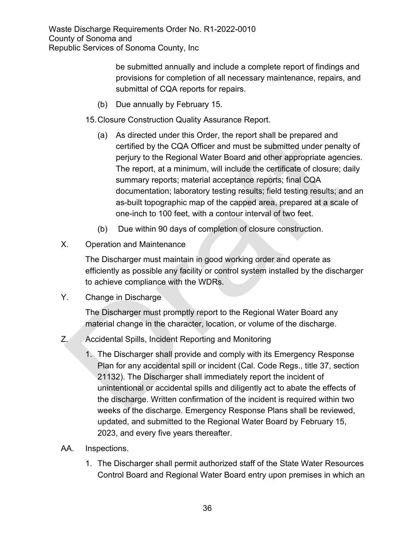> be submitted annually and include a complete report of findings and provisions for completion of all necessary maintenance, repairs, and submittal of CQA reports for repairs.

(b) Due annually by February 15.

15.Closure Construction Quality Assurance Report.

- (a) As directed under this Order, the report shall be prepared and certified by the CQA Officer and must be submitted under penalty of perjury to the Regional Water Board and other appropriate agencies. The report, at a minimum, will include the certificate of closure; daily summary reports; material acceptance reports; final CQA documentation; laboratory testing results; field testing results; and an as-built topographic map of the capped area, prepared at a scale of one-inch to 100 feet, with a contour interval of two feet.
- (b) Due within 90 days of completion of closure construction.
- X. Operation and Maintenance

The Discharger must maintain in good working order and operate as efficiently as possible any facility or control system installed by the discharger to achieve compliance with the WDRs.

Y. Change in Discharge

The Discharger must promptly report to the Regional Water Board any material change in the character, location, or volume of the discharge.

- Z. Accidental Spills, Incident Reporting and Monitoring
	- 1. The Discharger shall provide and comply with its Emergency Response Plan for any accidental spill or incident (Cal. Code Regs., title 37, section 21132). The Discharger shall immediately report the incident of unintentional or accidental spills and diligently act to abate the effects of the discharge. Written confirmation of the incident is required within two weeks of the discharge. Emergency Response Plans shall be reviewed, updated, and submitted to the Regional Water Board by February 15, 2023, and every five years thereafter.
- AA. Inspections.
	- 1. The Discharger shall permit authorized staff of the State Water Resources Control Board and Regional Water Board entry upon premises in which an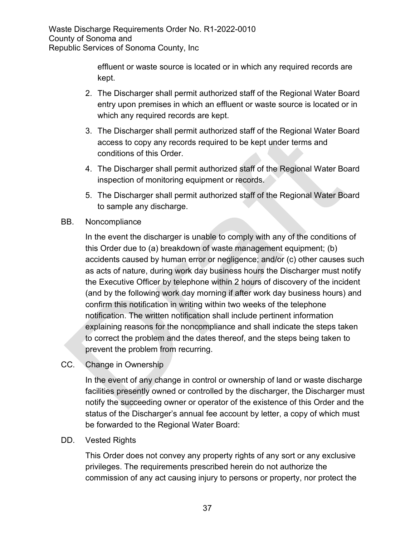> effluent or waste source is located or in which any required records are kept.

- 2. The Discharger shall permit authorized staff of the Regional Water Board entry upon premises in which an effluent or waste source is located or in which any required records are kept.
- 3. The Discharger shall permit authorized staff of the Regional Water Board access to copy any records required to be kept under terms and conditions of this Order.
- 4. The Discharger shall permit authorized staff of the Regional Water Board inspection of monitoring equipment or records.
- 5. The Discharger shall permit authorized staff of the Regional Water Board to sample any discharge.
- BB. Noncompliance

In the event the discharger is unable to comply with any of the conditions of this Order due to (a) breakdown of waste management equipment; (b) accidents caused by human error or negligence; and/or (c) other causes such as acts of nature, during work day business hours the Discharger must notify the Executive Officer by telephone within 2 hours of discovery of the incident (and by the following work day morning if after work day business hours) and confirm this notification in writing within two weeks of the telephone notification. The written notification shall include pertinent information explaining reasons for the noncompliance and shall indicate the steps taken to correct the problem and the dates thereof, and the steps being taken to prevent the problem from recurring.

CC. Change in Ownership

In the event of any change in control or ownership of land or waste discharge facilities presently owned or controlled by the discharger, the Discharger must notify the succeeding owner or operator of the existence of this Order and the status of the Discharger's annual fee account by letter, a copy of which must be forwarded to the Regional Water Board:

DD. Vested Rights

This Order does not convey any property rights of any sort or any exclusive privileges. The requirements prescribed herein do not authorize the commission of any act causing injury to persons or property, nor protect the